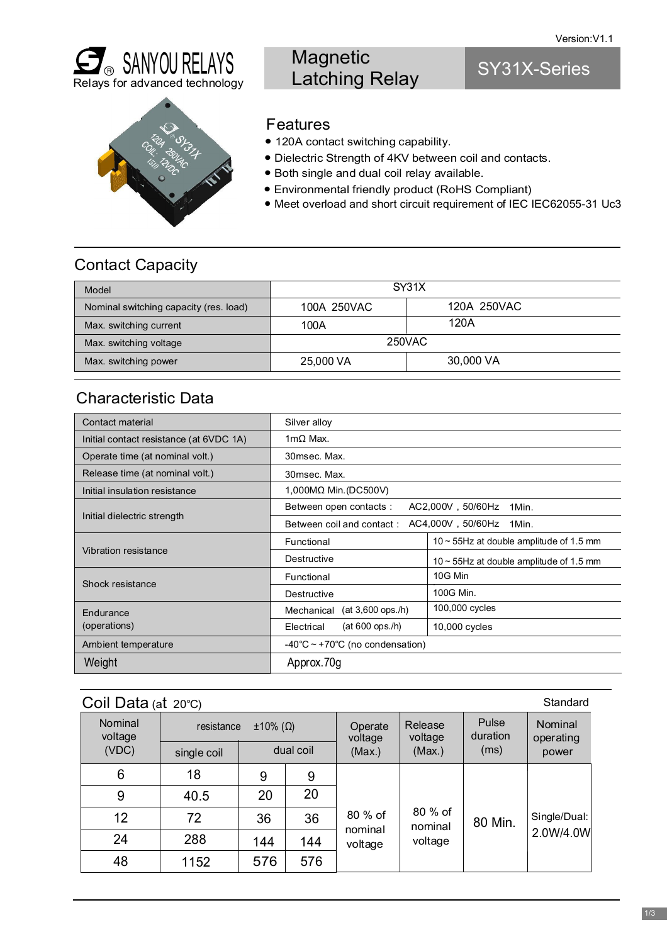

## **Magnetic** Latching Relay

## SY31X-Series



### Features

- 120A contact switching capability.
- Dielectric Strength of 4KV between coil and contacts.
- Both single and dual coil relay available.
- Environmental friendly product (RoHS Compliant)
- Meet overload and short circuit requirement of IEC IEC62055-31 Uc3

### Contact Capacity

| Model                                  | SY31X       |             |  |
|----------------------------------------|-------------|-------------|--|
| Nominal switching capacity (res. load) | 100A 250VAC | 120A 250VAC |  |
| Max. switching current                 | 100A        | 120A        |  |
| Max. switching voltage                 | 250VAC      |             |  |
| Max. switching power                   | 25,000 VA   | 30,000 VA   |  |

### Characteristic Data

| Contact material                        | Silver alloy                                            |                                               |  |  |  |
|-----------------------------------------|---------------------------------------------------------|-----------------------------------------------|--|--|--|
| Initial contact resistance (at 6VDC 1A) | $1m\Omega$ Max.                                         |                                               |  |  |  |
| Operate time (at nominal volt.)         | 30msec. Max.                                            |                                               |  |  |  |
| Release time (at nominal volt.)         | 30msec. Max.                                            |                                               |  |  |  |
| Initial insulation resistance           | 1,000MΩ Min. (DC500V)                                   |                                               |  |  |  |
|                                         | Between open contacts:<br>AC2,000V, 50/60Hz<br>1Min.    |                                               |  |  |  |
| Initial dielectric strength             | AC4,000V, 50/60Hz<br>Between coil and contact:<br>1Min. |                                               |  |  |  |
|                                         | Functional                                              | $10 \sim 55$ Hz at double amplitude of 1.5 mm |  |  |  |
| Vibration resistance                    | Destructive                                             | $10 \sim 55$ Hz at double amplitude of 1.5 mm |  |  |  |
| Shock resistance                        | Functional                                              | 10G Min                                       |  |  |  |
|                                         | Destructive                                             | 100G Min.                                     |  |  |  |
| Endurance                               | $(at 3,600$ ops./h)<br>Mechanical                       | 100,000 cycles                                |  |  |  |
| (operations)                            | $(at 600$ ops./h)<br>Electrical                         | 10,000 cycles                                 |  |  |  |
| Ambient temperature                     | $-40^{\circ}$ C ~ +70 $^{\circ}$ C (no condensation)    |                                               |  |  |  |
| Weight                                  | Approx.70g                                              |                                               |  |  |  |

| Coil Data (at $20^{\circ}$ C) |             |                         |           |                    |                               |                           | Standard                      |
|-------------------------------|-------------|-------------------------|-----------|--------------------|-------------------------------|---------------------------|-------------------------------|
| Nominal<br>voltage            | resistance  | $\pm 10\%$ ( $\Omega$ ) |           | Operate<br>voltage | Release<br>voltage<br>(Max.)  | Pulse<br>duration<br>(ms) | Nominal<br>operating<br>power |
| (VDC)                         | single coil |                         | dual coil | (Max.)             |                               |                           |                               |
| 6                             | 18          | 9                       | 9         |                    |                               | 80 Min.                   | Single/Dual:<br>2.0W/4.0W     |
| 9                             | 40.5        | 20                      | 20        |                    | 80 % of<br>nominal<br>voltage |                           |                               |
| 12 <sup>2</sup>               | 72          | 36                      | 36        | 80 % of            |                               |                           |                               |
| 24                            | 288         | 144                     | 144       | nominal<br>voltage |                               |                           |                               |
| 48                            | 1152        | 576                     | 576       |                    |                               |                           |                               |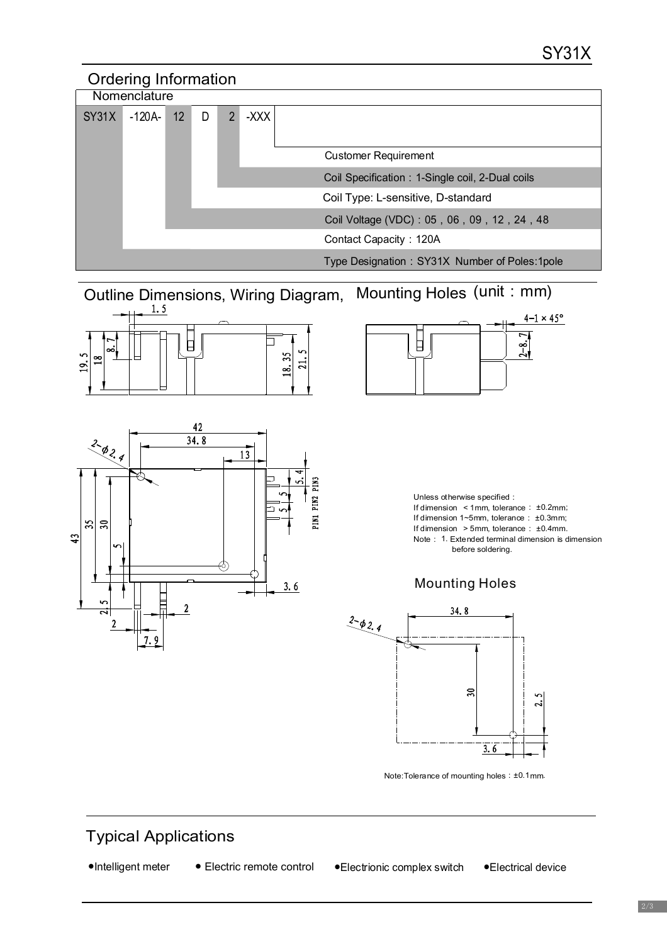

Outline Dimensions, Wiring Diagram, Mounting Holes (unit : mm)







Unless otherwise specified: If dimension  $\leq 1$  mm, tolerance :  $\pm 0.2$  mm; If dimension  $1~$ -5 mm, tolerance  $: 10.3$  mm; If dimension  $> 5$  mm, tolerance :  $±0.4$  mm. Note : 1. Extended terminal dimension is dimension before soldering.





Note: Tolerance of mounting holes : ±0.1 mm.

## Typical Applications

| •Intelligent meter |
|--------------------|
|--------------------|

● Electric remote control

●Intelligent meter ● Electric remote control ●Electrionic complex switch ●Electrical device